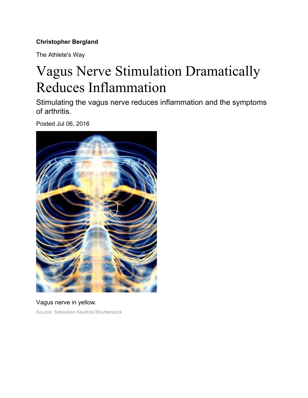## **Christopher Bergland**

The Athlete's Way

# Vagus Nerve Stimulation Dramatically Reduces Inflammation

Stimulating the vagus nerve reduces inflammation and the symptoms of arthritis.

Posted Jul 06, 2016



Vagus nerve in yellow. Source: Sebastian Kaulitzki/Shutterstock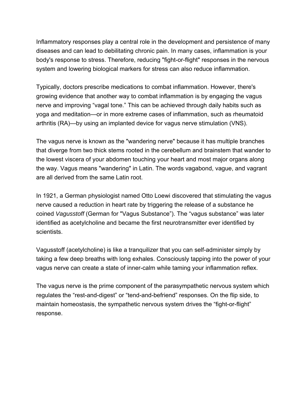Inflammatory responses play a central role in the development and persistence of many diseases and can lead to debilitating chronic pain. In many cases, inflammation is your body's response to stress. Therefore, reducing "fight-or-flight" responses in the nervous system and lowering biological markers for stress can also reduce inflammation.

Typically, doctors prescribe medications to combat inflammation. However, there's growing evidence that another way to combat inflammation is by engaging the vagus nerve and improving "vagal tone." This can be achieved through daily habits such as yoga and meditation—or in more extreme cases of inflammation, such as rheumatoid arthritis (RA)—by using an implanted device for vagus nerve stimulation (VNS).

The vagus nerve is known as the "wandering nerve" because it has multiple branches that diverge from two thick stems rooted in the cerebellum and brainstem that wander to the lowest viscera of your abdomen touching your heart and most major organs along the way. Vagus means "wandering" in Latin. The words vagabond, vague, and vagrant are all derived from the same Latin root.

In 1921, a German physiologist named Otto Loewi discovered that stimulating the vagus nerve caused a reduction in heart rate by triggering the release of a substance he coined *Vagusstoff* (German for "Vagus Substance"). The "vagus substance" was later identified as acetylcholine and became the first neurotransmitter ever identified by scientists.

Vagusstoff (acetylcholine) is like a tranquilizer that you can self-administer simply by taking a few deep breaths with long exhales. Consciously tapping into the power of your vagus nerve can create a state of inner-calm while taming your inflammation reflex.

The vagus nerve is the prime component of the parasympathetic nervous system which regulates the "rest-and-digest" or "tend-and-befriend" responses. On the flip side, to maintain homeostasis, the sympathetic nervous system drives the "fight-or-flight" response.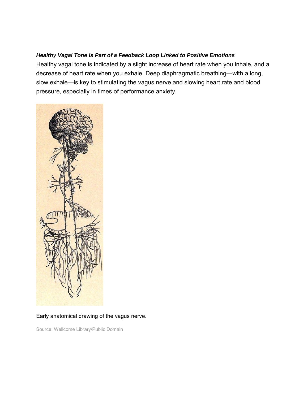#### *Healthy Vagal Tone Is Part of a Feedback Loop Linked to Positive Emotions*

Healthy vagal tone is indicated by a slight increase of heart rate when you inhale, and a decrease of heart rate when you exhale. Deep diaphragmatic breathing—with a long, slow exhale—is key to stimulating the vagus nerve and slowing heart rate and blood pressure, especially in times of performance anxiety.



#### Early anatomical drawing of the vagus nerve.

Source: Wellcome Library/Public Domain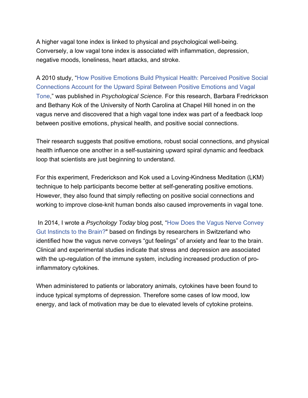A higher vagal tone index is linked to physical and psychological well-being. Conversely, a low vagal tone index is associated with inflammation, depression, negative moods, loneliness, heart attacks, and stroke.

A 2010 study, "How Positive Emotions Build Physical Health: Perceived Positive Social Connections Account for the Upward Spiral Between Positive Emotions and Vagal Tone," was published in *Psychological Science.* For this research, Barbara Fredrickson and Bethany Kok of the University of North Carolina at Chapel Hill honed in on the vagus nerve and discovered that a high vagal tone index was part of a feedback loop between positive emotions, physical health, and positive social connections.

Their research suggests that positive emotions, robust social connections, and physical health influence one another in a self-sustaining upward spiral dynamic and feedback loop that scientists are just beginning to understand.

For this experiment, Frederickson and Kok used a Loving-Kindness Meditation (LKM) technique to help participants become better at self-generating positive emotions. However, they also found that simply reflecting on positive social connections and working to improve close-knit human bonds also caused improvements in vagal tone.

 In 2014, I wrote a *Psychology Today* blog post, "How Does the Vagus Nerve Convey Gut Instincts to the Brain?" based on findings by researchers in Switzerland who identified how the vagus nerve conveys "gut feelings" of anxiety and fear to the brain. Clinical and experimental studies indicate that stress and depression are associated with the up-regulation of the immune system, including increased production of proinflammatory cytokines.

When administered to patients or laboratory animals, cytokines have been found to induce typical symptoms of depression. Therefore some cases of low mood, low energy, and lack of motivation may be due to elevated levels of cytokine proteins.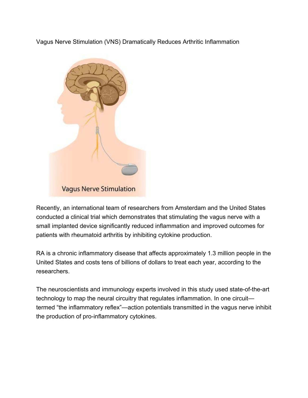Vagus Nerve Stimulation (VNS) Dramatically Reduces Arthritic Inflammation



Recently, an international team of researchers from Amsterdam and the United States conducted a clinical trial which demonstrates that stimulating the vagus nerve with a small implanted device significantly reduced inflammation and improved outcomes for patients with rheumatoid arthritis by inhibiting cytokine production.

RA is a chronic inflammatory disease that affects approximately 1.3 million people in the United States and costs tens of billions of dollars to treat each year, according to the researchers.

The neuroscientists and immunology experts involved in this study used state-of-the-art technology to map the neural circuitry that regulates inflammation. In one circuit termed "the inflammatory reflex"—action potentials transmitted in the vagus nerve inhibit the production of pro-inflammatory cytokines.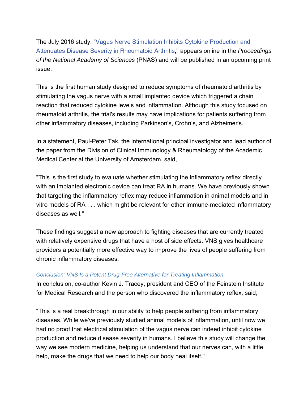The July 2016 study, "Vagus Nerve Stimulation Inhibits Cytokine Production and Attenuates Disease Severity in Rheumatoid Arthritis," appears online in the *Proceedings of the National Academy of Sciences* (PNAS) and will be published in an upcoming print issue.

This is the first human study designed to reduce symptoms of rheumatoid arthritis by stimulating the vagus nerve with a small implanted device which triggered a chain reaction that reduced cytokine levels and inflammation. Although this study focused on rheumatoid arthritis, the trial's results may have implications for patients suffering from other inflammatory diseases, including Parkinson's, Crohn's, and Alzheimer's.

In a statement, Paul-Peter Tak, the international principal investigator and lead author of the paper from the Division of Clinical Immunology & Rheumatology of the Academic Medical Center at the University of Amsterdam, said,

"This is the first study to evaluate whether stimulating the inflammatory reflex directly with an implanted electronic device can treat RA in humans. We have previously shown that targeting the inflammatory reflex may reduce inflammation in animal models and in vitro models of RA . . . which might be relevant for other immune-mediated inflammatory diseases as well."

These findings suggest a new approach to fighting diseases that are currently treated with relatively expensive drugs that have a host of side effects. VNS gives healthcare providers a potentially more effective way to improve the lives of people suffering from chronic inflammatory diseases.

#### *Conclusion: VNS Is a Potent Drug-Free Alternative for Treating Inflammation*

In conclusion, co-author Kevin J. Tracey, president and CEO of the Feinstein Institute for Medical Research and the person who discovered the inflammatory reflex, said,

"This is a real breakthrough in our ability to help people suffering from inflammatory diseases. While we've previously studied animal models of inflammation, until now we had no proof that electrical stimulation of the vagus nerve can indeed inhibit cytokine production and reduce disease severity in humans. I believe this study will change the way we see modern medicine, helping us understand that our nerves can, with a little help, make the drugs that we need to help our body heal itself."